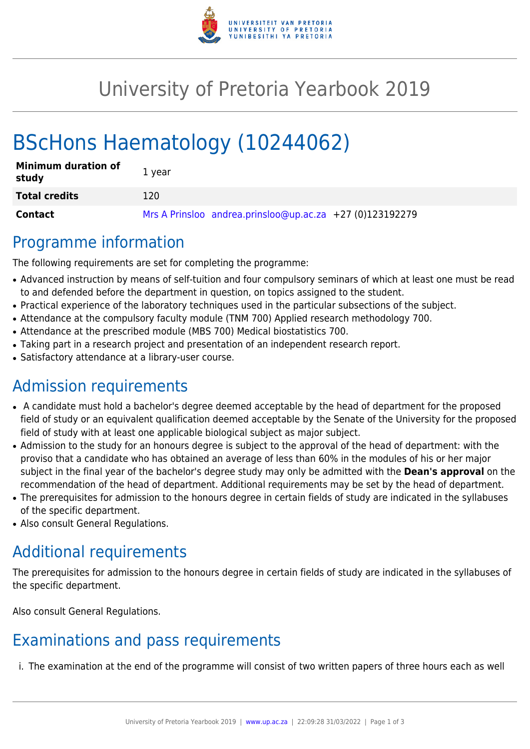

# University of Pretoria Yearbook 2019

# BScHons Haematology (10244062)

| <b>Minimum duration of</b><br>study | 1 year                                                   |
|-------------------------------------|----------------------------------------------------------|
| <b>Total credits</b>                | 120                                                      |
| Contact                             | Mrs A Prinsloo andrea.prinsloo@up.ac.za +27 (0)123192279 |

## Programme information

The following requirements are set for completing the programme:

- Advanced instruction by means of self-tuition and four compulsory seminars of which at least one must be read to and defended before the department in question, on topics assigned to the student.
- Practical experience of the laboratory techniques used in the particular subsections of the subject.
- Attendance at the compulsory faculty module (TNM 700) Applied research methodology 700.
- Attendance at the prescribed module (MBS 700) Medical biostatistics 700.
- Taking part in a research project and presentation of an independent research report.
- Satisfactory attendance at a library-user course.

# Admission requirements

- A candidate must hold a bachelor's degree deemed acceptable by the head of department for the proposed field of study or an equivalent qualification deemed acceptable by the Senate of the University for the proposed field of study with at least one applicable biological subject as major subject.
- Admission to the study for an honours degree is subject to the approval of the head of department: with the proviso that a candidate who has obtained an average of less than 60% in the modules of his or her major subject in the final year of the bachelor's degree study may only be admitted with the **Dean's approval** on the recommendation of the head of department. Additional requirements may be set by the head of department.
- The prerequisites for admission to the honours degree in certain fields of study are indicated in the syllabuses of the specific department.
- Also consult General Regulations.

# Additional requirements

The prerequisites for admission to the honours degree in certain fields of study are indicated in the syllabuses of the specific department.

Also consult General Regulations.

# Examinations and pass requirements

i. The examination at the end of the programme will consist of two written papers of three hours each as well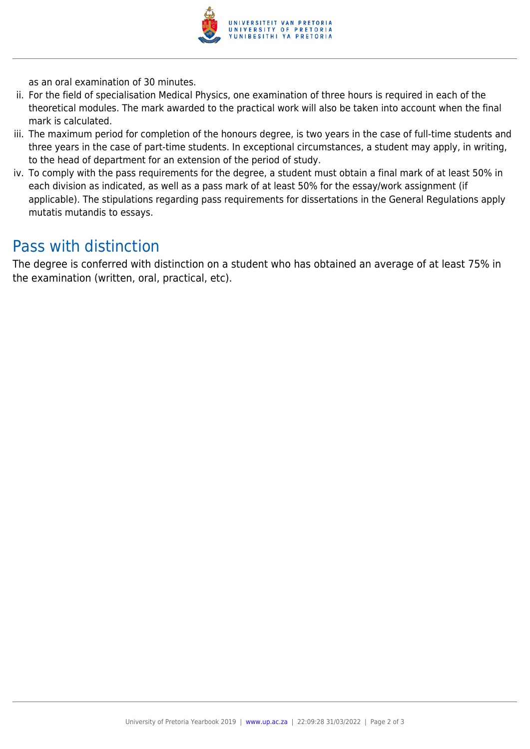

as an oral examination of 30 minutes.

- ii. For the field of specialisation Medical Physics, one examination of three hours is required in each of the theoretical modules. The mark awarded to the practical work will also be taken into account when the final mark is calculated.
- iii. The maximum period for completion of the honours degree, is two years in the case of full-time students and three years in the case of part-time students. In exceptional circumstances, a student may apply, in writing, to the head of department for an extension of the period of study.
- iv. To comply with the pass requirements for the degree, a student must obtain a final mark of at least 50% in each division as indicated, as well as a pass mark of at least 50% for the essay/work assignment (if applicable). The stipulations regarding pass requirements for dissertations in the General Regulations apply mutatis mutandis to essays.

## Pass with distinction

The degree is conferred with distinction on a student who has obtained an average of at least 75% in the examination (written, oral, practical, etc).